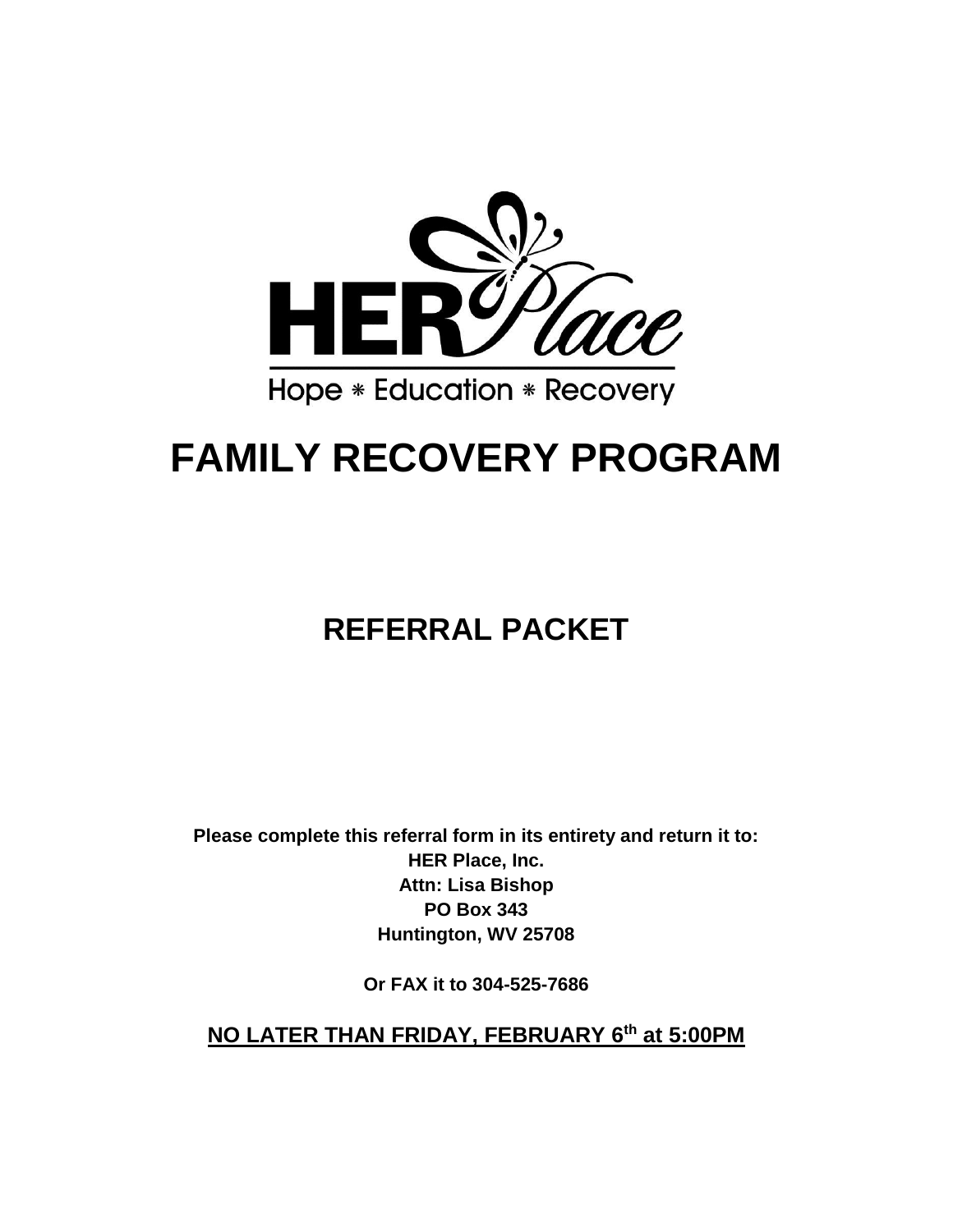

# **FAMILY RECOVERY PROGRAM**

## **REFERRAL PACKET**

**Please complete this referral form in its entirety and return it to: HER Place, Inc. Attn: Lisa Bishop PO Box 343 Huntington, WV 25708**

**Or FAX it to 304-525-7686**

**NO LATER THAN FRIDAY, FEBRUARY 6th at 5:00PM**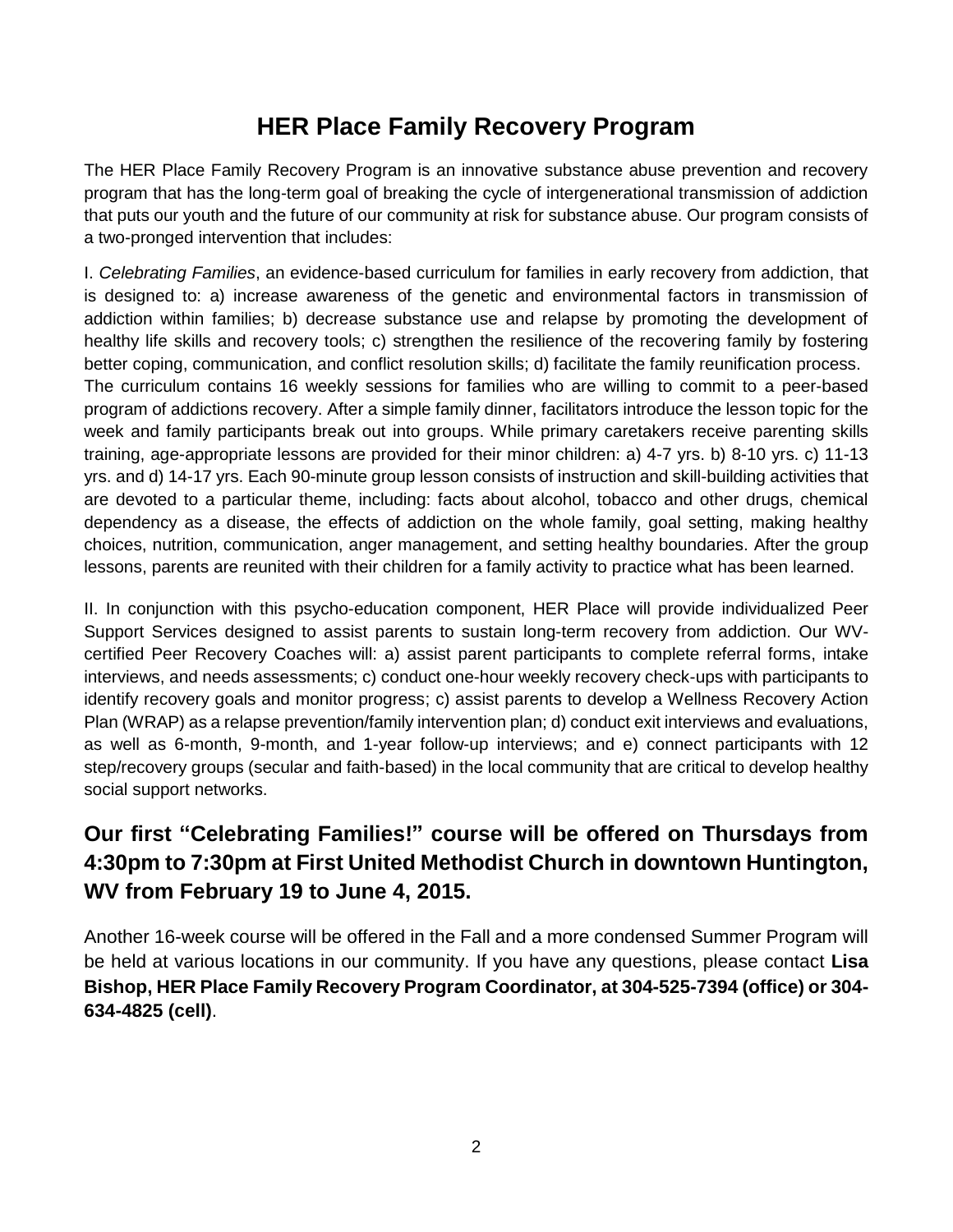## **HER Place Family Recovery Program**

The HER Place Family Recovery Program is an innovative substance abuse prevention and recovery program that has the long-term goal of breaking the cycle of intergenerational transmission of addiction that puts our youth and the future of our community at risk for substance abuse. Our program consists of a two-pronged intervention that includes:

I. *Celebrating Families*, an evidence-based curriculum for families in early recovery from addiction, that is designed to: a) increase awareness of the genetic and environmental factors in transmission of addiction within families; b) decrease substance use and relapse by promoting the development of healthy life skills and recovery tools; c) strengthen the resilience of the recovering family by fostering better coping, communication, and conflict resolution skills; d) facilitate the family reunification process. The curriculum contains 16 weekly sessions for families who are willing to commit to a peer-based program of addictions recovery. After a simple family dinner, facilitators introduce the lesson topic for the week and family participants break out into groups. While primary caretakers receive parenting skills training, age-appropriate lessons are provided for their minor children: a) 4-7 yrs. b) 8-10 yrs. c) 11-13 yrs. and d) 14-17 yrs. Each 90-minute group lesson consists of instruction and skill-building activities that are devoted to a particular theme, including: facts about alcohol, tobacco and other drugs, chemical dependency as a disease, the effects of addiction on the whole family, goal setting, making healthy choices, nutrition, communication, anger management, and setting healthy boundaries. After the group lessons, parents are reunited with their children for a family activity to practice what has been learned.

II. In conjunction with this psycho-education component, HER Place will provide individualized Peer Support Services designed to assist parents to sustain long-term recovery from addiction. Our WVcertified Peer Recovery Coaches will: a) assist parent participants to complete referral forms, intake interviews, and needs assessments; c) conduct one-hour weekly recovery check-ups with participants to identify recovery goals and monitor progress; c) assist parents to develop a Wellness Recovery Action Plan (WRAP) as a relapse prevention/family intervention plan; d) conduct exit interviews and evaluations, as well as 6-month, 9-month, and 1-year follow-up interviews; and e) connect participants with 12 step/recovery groups (secular and faith-based) in the local community that are critical to develop healthy social support networks.

## **Our first "Celebrating Families!" course will be offered on Thursdays from 4:30pm to 7:30pm at First United Methodist Church in downtown Huntington, WV from February 19 to June 4, 2015.**

Another 16-week course will be offered in the Fall and a more condensed Summer Program will be held at various locations in our community. If you have any questions, please contact **Lisa Bishop, HER Place Family Recovery Program Coordinator, at 304-525-7394 (office) or 304- 634-4825 (cell)**.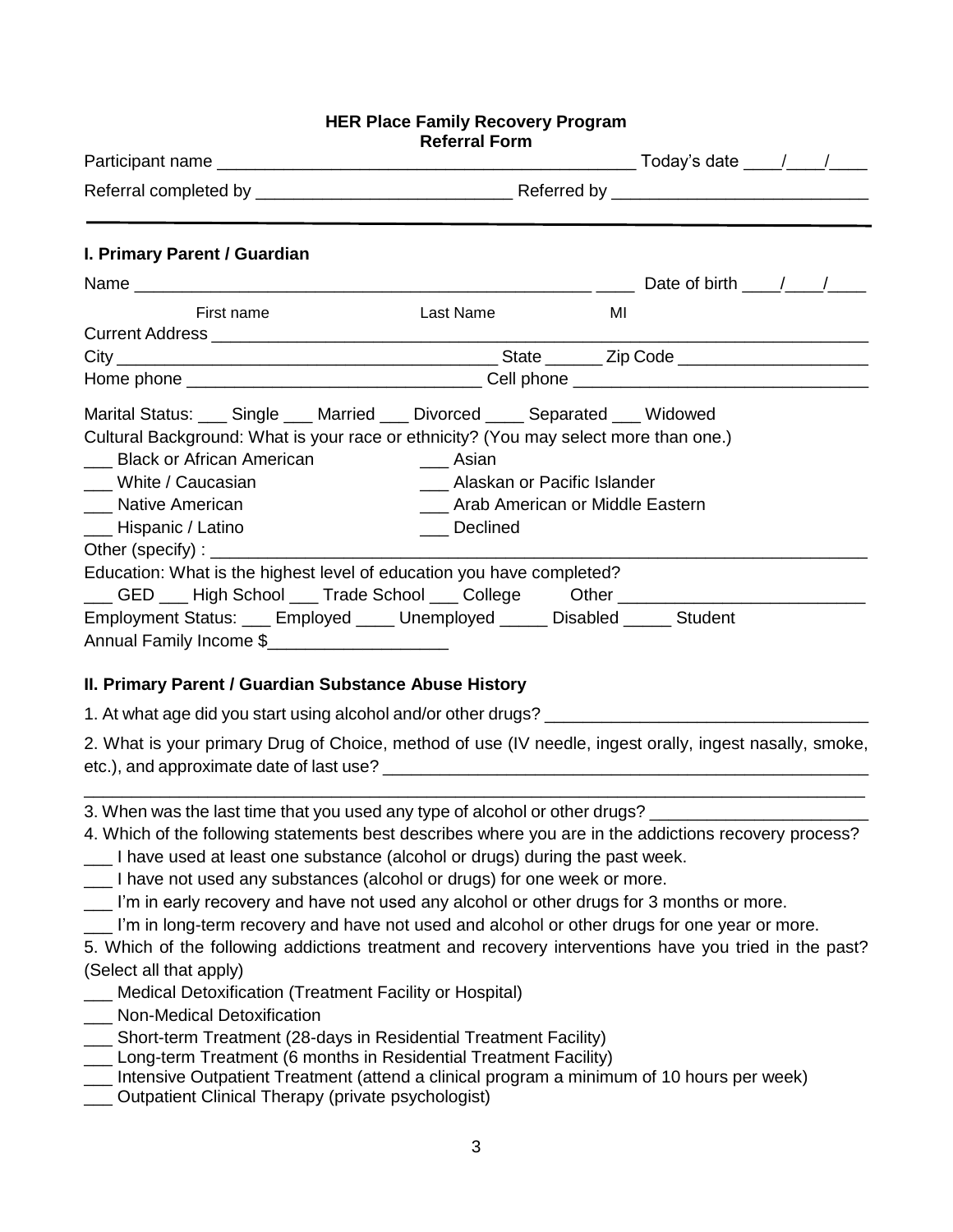#### **HER Place Family Recovery Program Referral Form**

| I. Primary Parent / Guardian                                                                                                                                                                                                                                                   |                                                                                         |    |
|--------------------------------------------------------------------------------------------------------------------------------------------------------------------------------------------------------------------------------------------------------------------------------|-----------------------------------------------------------------------------------------|----|
|                                                                                                                                                                                                                                                                                |                                                                                         |    |
| First name                                                                                                                                                                                                                                                                     | Last Name                                                                               | MI |
|                                                                                                                                                                                                                                                                                |                                                                                         |    |
|                                                                                                                                                                                                                                                                                |                                                                                         |    |
| Marital Status: ___ Single ___ Married ___ Divorced ____ Separated ___ Widowed<br>Cultural Background: What is your race or ethnicity? (You may select more than one.)<br>__ Black or African American<br>___ White / Caucasian<br>__ Native American<br>___ Hispanic / Latino | Asian<br>Alaskan or Pacific Islander<br>Arab American or Middle Eastern<br>___ Declined |    |
| Education: What is the highest level of education you have completed?                                                                                                                                                                                                          |                                                                                         |    |
| College CED ___ High School ___ Trade School ___ College Cther _________                                                                                                                                                                                                       |                                                                                         |    |
| Employment Status: ___ Employed ____ Unemployed _____ Disabled _____ Student                                                                                                                                                                                                   |                                                                                         |    |
| Annual Family Income \$                                                                                                                                                                                                                                                        |                                                                                         |    |

#### **II. Primary Parent / Guardian Substance Abuse History**

1. At what age did you start using alcohol and/or other drugs?

2. What is your primary Drug of Choice, method of use (IV needle, ingest orally, ingest nasally, smoke, etc.), and approximate date of last use?

\_\_\_\_\_\_\_\_\_\_\_\_\_\_\_\_\_\_\_\_\_\_\_\_\_\_\_\_\_\_\_\_\_\_\_\_\_\_\_\_\_\_\_\_\_\_\_\_\_\_\_\_\_\_\_\_\_\_\_\_\_\_\_\_\_\_\_\_\_\_\_\_\_\_\_\_\_\_\_\_\_\_

3. When was the last time that you used any type of alcohol or other drugs?

- 4. Which of the following statements best describes where you are in the addictions recovery process?
- I have used at least one substance (alcohol or drugs) during the past week.
- I have not used any substances (alcohol or drugs) for one week or more.
- \_\_\_ I'm in early recovery and have not used any alcohol or other drugs for 3 months or more.
- I'm in long-term recovery and have not used and alcohol or other drugs for one year or more.

5. Which of the following addictions treatment and recovery interventions have you tried in the past? (Select all that apply)

- \_\_\_ Medical Detoxification (Treatment Facility or Hospital)
- \_\_\_ Non-Medical Detoxification
- \_\_\_ Short-term Treatment (28-days in Residential Treatment Facility)
- \_\_\_ Long-term Treatment (6 months in Residential Treatment Facility)
- \_\_\_ Intensive Outpatient Treatment (attend a clinical program a minimum of 10 hours per week)
- \_\_\_ Outpatient Clinical Therapy (private psychologist)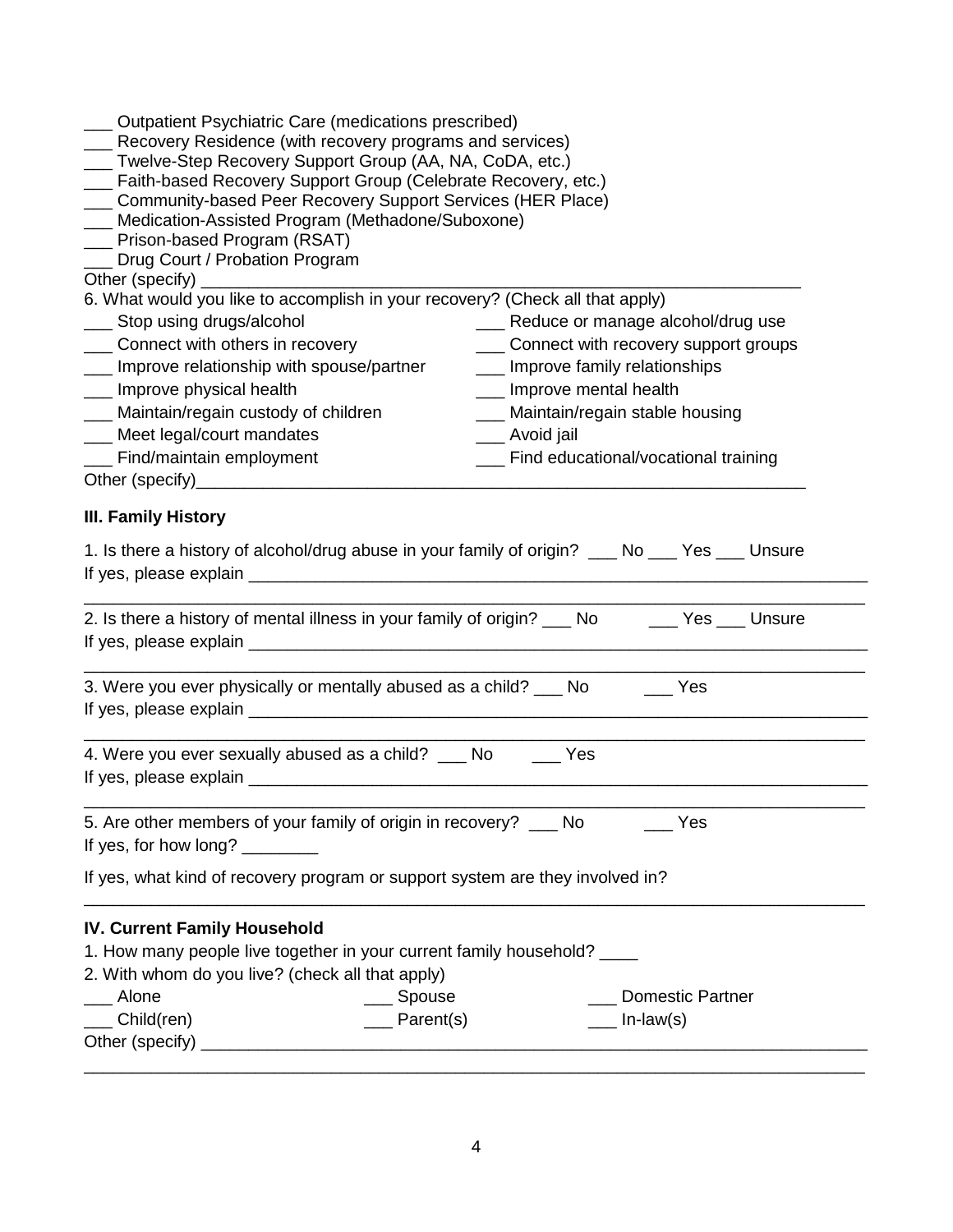| __ Outpatient Psychiatric Care (medications prescribed)<br>__ Recovery Residence (with recovery programs and services)<br>___ Twelve-Step Recovery Support Group (AA, NA, CoDA, etc.)<br>__ Faith-based Recovery Support Group (Celebrate Recovery, etc.)<br>__ Community-based Peer Recovery Support Services (HER Place)<br>__ Medication-Assisted Program (Methadone/Suboxone)<br>__ Prison-based Program (RSAT)<br>Drug Court / Probation Program |                                               |                                    |                                          |
|-------------------------------------------------------------------------------------------------------------------------------------------------------------------------------------------------------------------------------------------------------------------------------------------------------------------------------------------------------------------------------------------------------------------------------------------------------|-----------------------------------------------|------------------------------------|------------------------------------------|
| 6. What would you like to accomplish in your recovery? (Check all that apply)                                                                                                                                                                                                                                                                                                                                                                         |                                               |                                    |                                          |
| ___ Stop using drugs/alcohol                                                                                                                                                                                                                                                                                                                                                                                                                          |                                               |                                    | ___ Reduce or manage alcohol/drug use    |
| ____ Connect with others in recovery                                                                                                                                                                                                                                                                                                                                                                                                                  |                                               |                                    | ___ Connect with recovery support groups |
| __ Improve relationship with spouse/partner                                                                                                                                                                                                                                                                                                                                                                                                           |                                               | ___ Improve family relationships   |                                          |
| ___ Improve physical health                                                                                                                                                                                                                                                                                                                                                                                                                           |                                               | ___ Improve mental health          |                                          |
| ___ Maintain/regain custody of children                                                                                                                                                                                                                                                                                                                                                                                                               |                                               | ___ Maintain/regain stable housing |                                          |
| ___ Meet legal/court mandates                                                                                                                                                                                                                                                                                                                                                                                                                         |                                               | __ Avoid jail                      |                                          |
| __ Find/maintain employment                                                                                                                                                                                                                                                                                                                                                                                                                           |                                               |                                    | ___ Find educational/vocational training |
| <b>III. Family History</b>                                                                                                                                                                                                                                                                                                                                                                                                                            |                                               |                                    |                                          |
| 1. Is there a history of alcohol/drug abuse in your family of origin? ____ No ____ Yes ____ Unsure                                                                                                                                                                                                                                                                                                                                                    |                                               |                                    |                                          |
| 2. Is there a history of mental illness in your family of origin? ___ No _____ Yes ___ Unsure                                                                                                                                                                                                                                                                                                                                                         |                                               |                                    |                                          |
| 3. Were you ever physically or mentally abused as a child? ___ No                                                                                                                                                                                                                                                                                                                                                                                     |                                               |                                    | <b>Parage Yes</b>                        |
| 4. Were you ever sexually abused as a child? ____ No _____ Yes                                                                                                                                                                                                                                                                                                                                                                                        |                                               |                                    |                                          |
| 5. Are other members of your family of origin in recovery? __ No<br>If yes, for how long? ________                                                                                                                                                                                                                                                                                                                                                    |                                               |                                    | Yes                                      |
| If yes, what kind of recovery program or support system are they involved in?                                                                                                                                                                                                                                                                                                                                                                         |                                               |                                    |                                          |
| <b>IV. Current Family Household</b><br>1. How many people live together in your current family household? ____<br>2. With whom do you live? (check all that apply)<br>Alone<br>$\equiv$ Child(ren)                                                                                                                                                                                                                                                    | <u>_</u> __ Spouse<br>$\frac{1}{2}$ Parent(s) |                                    | <b>Domestic Partner</b><br>$In-law(s)$   |
|                                                                                                                                                                                                                                                                                                                                                                                                                                                       |                                               |                                    |                                          |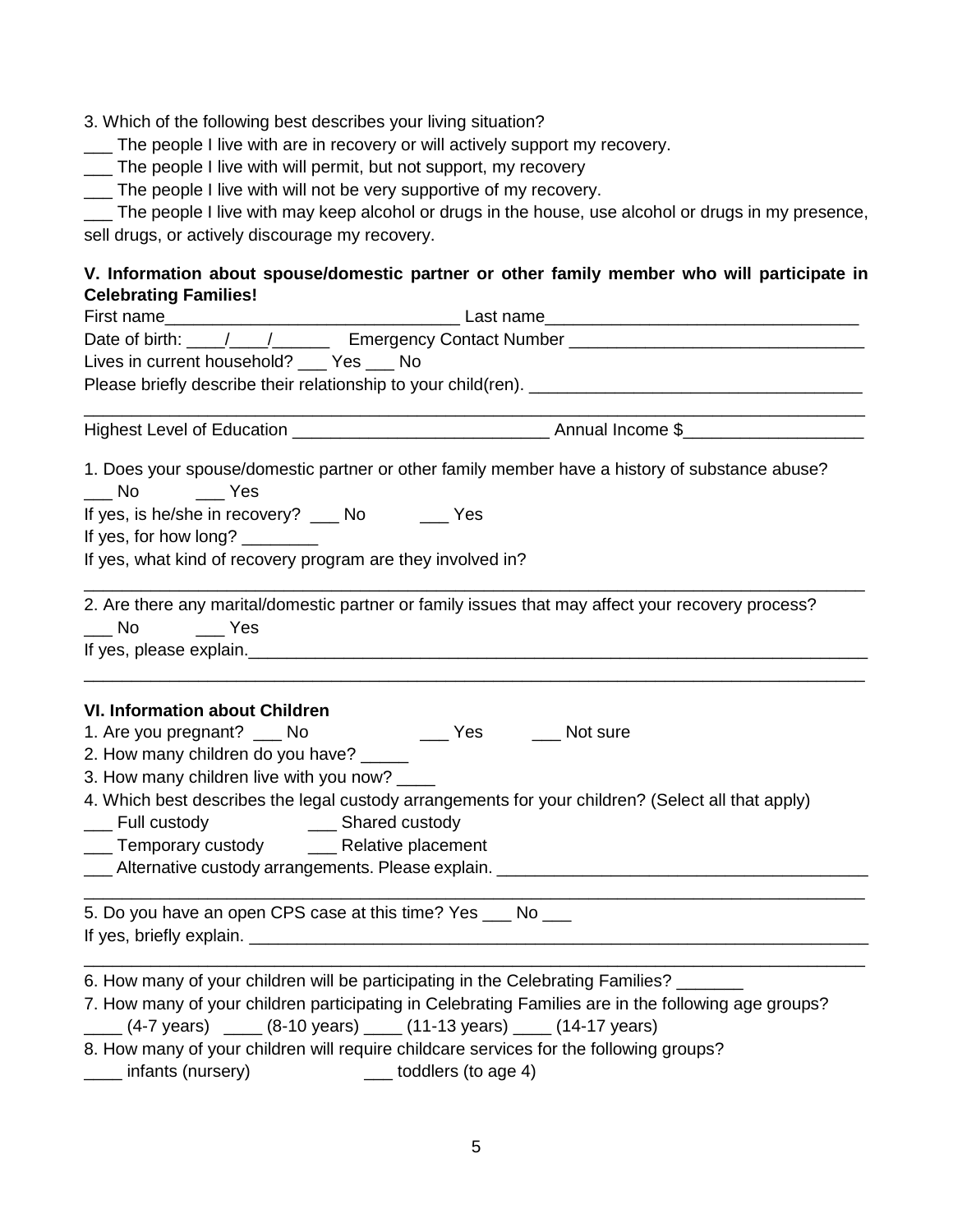- 3. Which of the following best describes your living situation?
- \_\_\_ The people I live with are in recovery or will actively support my recovery.
- \_\_\_ The people I live with will permit, but not support, my recovery
- \_\_\_ The people I live with will not be very supportive of my recovery.

\_\_\_ The people I live with may keep alcohol or drugs in the house, use alcohol or drugs in my presence, sell drugs, or actively discourage my recovery.

### **V. Information about spouse/domestic partner or other family member who will participate in Celebrating Families!**

| Date of birth: ///// Emergency Contact Number __________________________________                                                                                                                                                                                                                                                                     |  |  |  |
|------------------------------------------------------------------------------------------------------------------------------------------------------------------------------------------------------------------------------------------------------------------------------------------------------------------------------------------------------|--|--|--|
| Lives in current household? ___ Yes ___ No                                                                                                                                                                                                                                                                                                           |  |  |  |
|                                                                                                                                                                                                                                                                                                                                                      |  |  |  |
|                                                                                                                                                                                                                                                                                                                                                      |  |  |  |
|                                                                                                                                                                                                                                                                                                                                                      |  |  |  |
| 1. Does your spouse/domestic partner or other family member have a history of substance abuse?                                                                                                                                                                                                                                                       |  |  |  |
| If yes, is he/she in recovery? ____ No ______ Yes                                                                                                                                                                                                                                                                                                    |  |  |  |
| If yes, for how long? ________                                                                                                                                                                                                                                                                                                                       |  |  |  |
| If yes, what kind of recovery program are they involved in?                                                                                                                                                                                                                                                                                          |  |  |  |
| 2. Are there any marital/domestic partner or family issues that may affect your recovery process?<br>No ______ Yes<br>If yes, please explain. The contract of the contract of the contract of the contract of the contract of the contract of the contract of the contract of the contract of the contract of the contract of the contract of the co |  |  |  |
| <b>VI. Information about Children</b>                                                                                                                                                                                                                                                                                                                |  |  |  |
| ______ Yes ______ Not sure<br>1. Are you pregnant? __ No                                                                                                                                                                                                                                                                                             |  |  |  |
| 2. How many children do you have? _____                                                                                                                                                                                                                                                                                                              |  |  |  |
| 3. How many children live with you now? ____                                                                                                                                                                                                                                                                                                         |  |  |  |
| 4. Which best describes the legal custody arrangements for your children? (Select all that apply)<br>___ Full custody _______________ Shared custody                                                                                                                                                                                                 |  |  |  |
| ___ Temporary custody _____ Relative placement                                                                                                                                                                                                                                                                                                       |  |  |  |
| Lacence Alternative custody arrangements. Please explain. <u>Collect Communications</u> Alternative Custody arrangements. Please explain.                                                                                                                                                                                                            |  |  |  |
| 5. Do you have an open CPS case at this time? Yes ___ No ___                                                                                                                                                                                                                                                                                         |  |  |  |
| 6. How many of your children will be participating in the Celebrating Families? ______                                                                                                                                                                                                                                                               |  |  |  |
| 7. How many of your children participating in Celebrating Families are in the following age groups?<br>$\frac{1}{1}$ (4-7 years) $\frac{1}{1}$ (8-10 years) $\frac{1}{1}$ (11-13 years) $\frac{1}{1}$ (14-17 years)                                                                                                                                  |  |  |  |
| $\epsilon$ and the contract $\epsilon$ and $\epsilon$                                                                                                                                                                                                                                                                                                |  |  |  |

8. How many of your children will require childcare services for the following groups? \_\_\_\_ infants (nursery) \_\_\_ toddlers (to age 4)